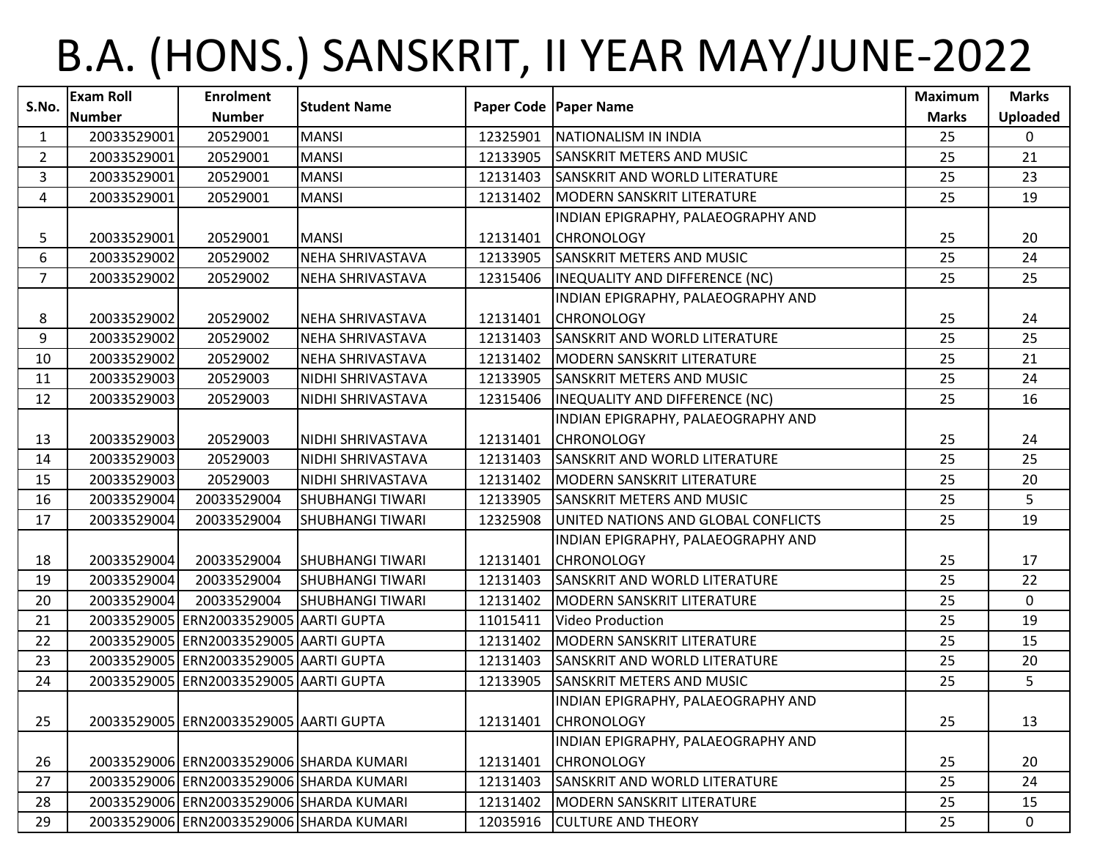## B.A. (HONS.) SANSKRIT, II YEAR MAY/JUNE-2022

| S.No.          | <b>Exam Roll</b> | <b>Enrolment</b>                         | <b>Student Name</b>     |          | Paper Code   Paper Name              | <b>Maximum</b> | <b>Marks</b>    |
|----------------|------------------|------------------------------------------|-------------------------|----------|--------------------------------------|----------------|-----------------|
|                | <b>Number</b>    | <b>Number</b>                            |                         |          |                                      | <b>Marks</b>   | <b>Uploaded</b> |
| $\mathbf{1}$   | 20033529001      | 20529001                                 | <b>MANSI</b>            | 12325901 | NATIONALISM IN INDIA                 | 25             | $\Omega$        |
| $\overline{2}$ | 20033529001      | 20529001                                 | <b>MANSI</b>            | 12133905 | <b>SANSKRIT METERS AND MUSIC</b>     | 25             | 21              |
| 3              | 20033529001      | 20529001                                 | <b>MANSI</b>            | 12131403 | <b>SANSKRIT AND WORLD LITERATURE</b> | 25             | 23              |
| 4              | 20033529001      | 20529001                                 | <b>MANSI</b>            | 12131402 | <b>MODERN SANSKRIT LITERATURE</b>    | 25             | 19              |
|                |                  |                                          |                         |          | INDIAN EPIGRAPHY, PALAEOGRAPHY AND   |                |                 |
| 5              | 20033529001      | 20529001                                 | <b>MANSI</b>            | 12131401 | <b>CHRONOLOGY</b>                    | 25             | 20              |
| 6              | 20033529002      | 20529002                                 | NEHA SHRIVASTAVA        | 12133905 | <b>SANSKRIT METERS AND MUSIC</b>     | 25             | 24              |
| $\overline{7}$ | 20033529002      | 20529002                                 | NEHA SHRIVASTAVA        | 12315406 | INEQUALITY AND DIFFERENCE (NC)       | 25             | 25              |
|                |                  |                                          |                         |          | INDIAN EPIGRAPHY, PALAEOGRAPHY AND   |                |                 |
| 8              | 20033529002      | 20529002                                 | NEHA SHRIVASTAVA        | 12131401 | <b>CHRONOLOGY</b>                    | 25             | 24              |
| 9              | 20033529002      | 20529002                                 | NEHA SHRIVASTAVA        | 12131403 | <b>SANSKRIT AND WORLD LITERATURE</b> | 25             | 25              |
| 10             | 20033529002      | 20529002                                 | NEHA SHRIVASTAVA        | 12131402 | <b>MODERN SANSKRIT LITERATURE</b>    | 25             | 21              |
| 11             | 20033529003      | 20529003                                 | NIDHI SHRIVASTAVA       | 12133905 | <b>SANSKRIT METERS AND MUSIC</b>     | 25             | 24              |
| 12             | 20033529003      | 20529003                                 | NIDHI SHRIVASTAVA       | 12315406 | INEQUALITY AND DIFFERENCE (NC)       | 25             | 16              |
|                |                  |                                          |                         |          | INDIAN EPIGRAPHY, PALAEOGRAPHY AND   |                |                 |
| 13             | 20033529003      | 20529003                                 | NIDHI SHRIVASTAVA       | 12131401 | <b>CHRONOLOGY</b>                    | 25             | 24              |
| 14             | 20033529003      | 20529003                                 | NIDHI SHRIVASTAVA       | 12131403 | <b>SANSKRIT AND WORLD LITERATURE</b> | 25             | 25              |
| 15             | 20033529003      | 20529003                                 | NIDHI SHRIVASTAVA       | 12131402 | <b>MODERN SANSKRIT LITERATURE</b>    | 25             | 20              |
| 16             | 20033529004      | 20033529004                              | SHUBHANGI TIWARI        | 12133905 | <b>SANSKRIT METERS AND MUSIC</b>     | 25             | 5               |
| 17             | 20033529004      | 20033529004                              | <b>SHUBHANGI TIWARI</b> | 12325908 | UNITED NATIONS AND GLOBAL CONFLICTS  | 25             | 19              |
|                |                  |                                          |                         |          | INDIAN EPIGRAPHY, PALAEOGRAPHY AND   |                |                 |
| 18             | 20033529004      | 20033529004                              | <b>SHUBHANGI TIWARI</b> | 12131401 | <b>CHRONOLOGY</b>                    | 25             | 17              |
| 19             | 20033529004      | 20033529004                              | <b>SHUBHANGI TIWARI</b> | 12131403 | <b>SANSKRIT AND WORLD LITERATURE</b> | 25             | 22              |
| 20             | 20033529004      | 20033529004                              | <b>SHUBHANGI TIWARI</b> | 12131402 | <b>MODERN SANSKRIT LITERATURE</b>    | 25             | $\mathbf 0$     |
| 21             |                  | 20033529005 ERN20033529005 AARTI GUPTA   |                         | 11015411 | Video Production                     | 25             | 19              |
| 22             |                  | 20033529005 ERN20033529005 AARTI GUPTA   |                         | 12131402 | <b>MODERN SANSKRIT LITERATURE</b>    | 25             | 15              |
| 23             |                  | 20033529005 ERN20033529005 AARTI GUPTA   |                         | 12131403 | <b>SANSKRIT AND WORLD LITERATURE</b> | 25             | 20              |
| 24             |                  | 20033529005 ERN20033529005 AARTI GUPTA   |                         | 12133905 | <b>SANSKRIT METERS AND MUSIC</b>     | 25             | 5               |
|                |                  |                                          |                         |          | INDIAN EPIGRAPHY, PALAEOGRAPHY AND   |                |                 |
| 25             |                  | 20033529005 ERN20033529005 AARTI GUPTA   |                         | 12131401 | <b>CHRONOLOGY</b>                    | 25             | 13              |
|                |                  |                                          |                         |          | INDIAN EPIGRAPHY, PALAEOGRAPHY AND   |                |                 |
| 26             |                  | 20033529006 ERN20033529006 SHARDA KUMARI |                         | 12131401 | <b>CHRONOLOGY</b>                    | 25             | 20              |
| 27             |                  | 20033529006 ERN20033529006 SHARDA KUMARI |                         | 12131403 | <b>SANSKRIT AND WORLD LITERATURE</b> | 25             | 24              |
| 28             |                  | 20033529006 ERN20033529006 SHARDA KUMARI |                         | 12131402 | <b>MODERN SANSKRIT LITERATURE</b>    | 25             | 15              |
| 29             |                  | 20033529006 ERN20033529006 SHARDA KUMARI |                         | 12035916 | <b>CULTURE AND THEORY</b>            | 25             | $\mathbf 0$     |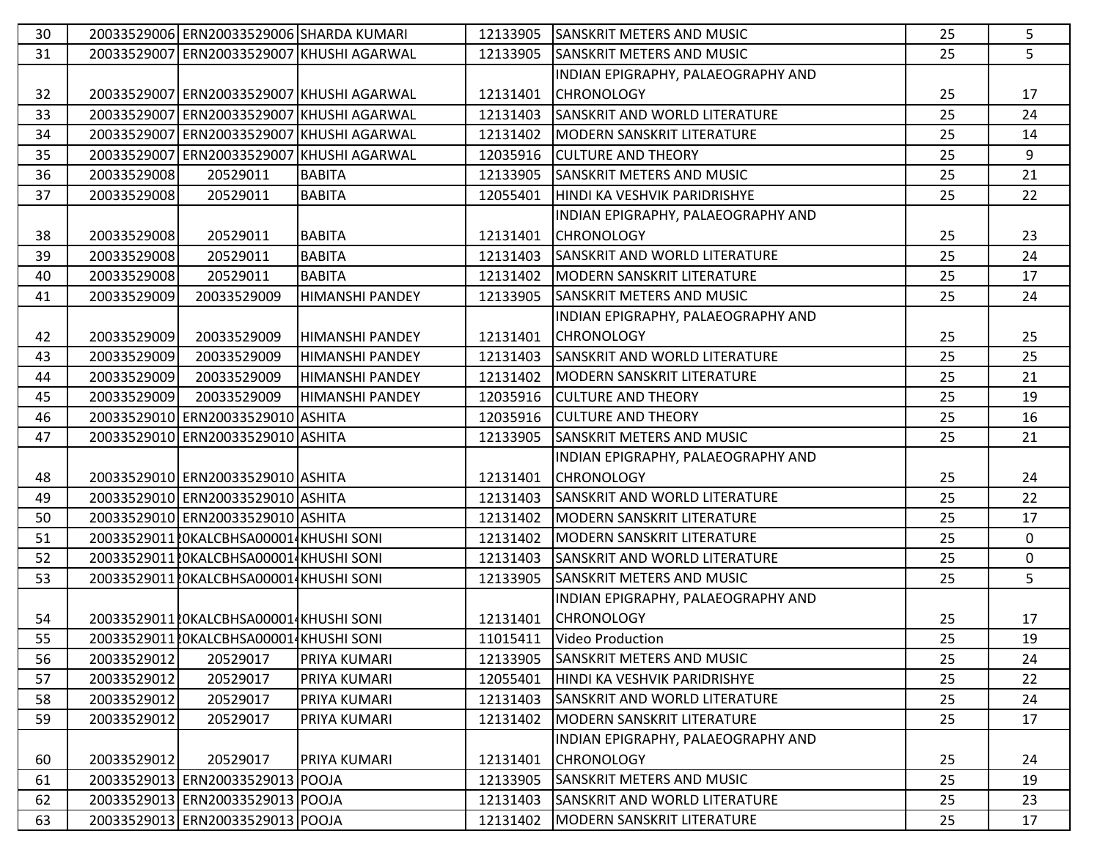| 30 |             | 20033529006 ERN20033529006 SHARDA KUMARI |                                           |          | 12133905 SANSKRIT METERS AND MUSIC   | 25 | 5           |
|----|-------------|------------------------------------------|-------------------------------------------|----------|--------------------------------------|----|-------------|
| 31 |             |                                          | 20033529007 ERN20033529007 KHUSHI AGARWAL | 12133905 | <b>SANSKRIT METERS AND MUSIC</b>     | 25 | 5           |
|    |             |                                          |                                           |          | INDIAN EPIGRAPHY, PALAEOGRAPHY AND   |    |             |
| 32 |             |                                          | 20033529007 ERN20033529007 KHUSHI AGARWAL | 12131401 | <b>CHRONOLOGY</b>                    | 25 | 17          |
| 33 |             |                                          | 20033529007 ERN20033529007 KHUSHI AGARWAL | 12131403 | <b>SANSKRIT AND WORLD LITERATURE</b> | 25 | 24          |
| 34 |             |                                          | 20033529007 ERN20033529007 KHUSHI AGARWAL | 12131402 | MODERN SANSKRIT LITERATURE           | 25 | 14          |
| 35 |             |                                          | 20033529007 ERN20033529007 KHUSHI AGARWAL |          | 12035916 CULTURE AND THEORY          | 25 | 9           |
| 36 | 20033529008 | 20529011                                 | <b>BABITA</b>                             | 12133905 | <b>SANSKRIT METERS AND MUSIC</b>     | 25 | 21          |
| 37 | 20033529008 | 20529011                                 | <b>BABITA</b>                             | 12055401 | HINDI KA VESHVIK PARIDRISHYE         | 25 | 22          |
|    |             |                                          |                                           |          | INDIAN EPIGRAPHY, PALAEOGRAPHY AND   |    |             |
| 38 | 20033529008 | 20529011                                 | <b>BABITA</b>                             | 12131401 | <b>CHRONOLOGY</b>                    | 25 | 23          |
| 39 | 20033529008 | 20529011                                 | <b>BABITA</b>                             | 12131403 | <b>SANSKRIT AND WORLD LITERATURE</b> | 25 | 24          |
| 40 | 20033529008 | 20529011                                 | <b>BABITA</b>                             | 12131402 | MODERN SANSKRIT LITERATURE           | 25 | 17          |
| 41 | 20033529009 | 20033529009                              | HIMANSHI PANDEY                           | 12133905 | <b>SANSKRIT METERS AND MUSIC</b>     | 25 | 24          |
|    |             |                                          |                                           |          | INDIAN EPIGRAPHY, PALAEOGRAPHY AND   |    |             |
| 42 | 20033529009 | 20033529009                              | <b>HIMANSHI PANDEY</b>                    | 12131401 | <b>CHRONOLOGY</b>                    | 25 | 25          |
| 43 | 20033529009 | 20033529009                              | <b>HIMANSHI PANDEY</b>                    | 12131403 | <b>SANSKRIT AND WORLD LITERATURE</b> | 25 | 25          |
| 44 | 20033529009 | 20033529009                              | HIMANSHI PANDEY                           | 12131402 | MODERN SANSKRIT LITERATURE           | 25 | 21          |
| 45 | 20033529009 | 20033529009                              | <b>HIMANSHI PANDEY</b>                    |          | 12035916 CULTURE AND THEORY          | 25 | 19          |
| 46 |             | 20033529010 ERN20033529010 ASHITA        |                                           | 12035916 | <b>CULTURE AND THEORY</b>            | 25 | 16          |
| 47 |             | 20033529010 ERN20033529010 ASHITA        |                                           | 12133905 | <b>SANSKRIT METERS AND MUSIC</b>     | 25 | 21          |
|    |             |                                          |                                           |          | INDIAN EPIGRAPHY, PALAEOGRAPHY AND   |    |             |
| 48 |             | 20033529010 ERN20033529010 ASHITA        |                                           | 12131401 | <b>CHRONOLOGY</b>                    | 25 | 24          |
| 49 |             | 20033529010 ERN20033529010 ASHITA        |                                           | 12131403 | <b>SANSKRIT AND WORLD LITERATURE</b> | 25 | 22          |
| 50 |             | 20033529010 ERN20033529010 ASHITA        |                                           | 12131402 | MODERN SANSKRIT LITERATURE           | 25 | 17          |
| 51 |             | 2003352901120KALCBHSA000014KHUSHI SONI   |                                           | 12131402 | MODERN SANSKRIT LITERATURE           | 25 | $\mathbf 0$ |
| 52 |             | 20033529011 LOKALCBHSA00001 KHUSHI SONI  |                                           | 12131403 | <b>SANSKRIT AND WORLD LITERATURE</b> | 25 | $\mathbf 0$ |
| 53 |             | 20033529011 LOKALCBHSA00001 KHUSHI SONI  |                                           | 12133905 | <b>SANSKRIT METERS AND MUSIC</b>     | 25 | 5           |
|    |             |                                          |                                           |          | INDIAN EPIGRAPHY, PALAEOGRAPHY AND   |    |             |
| 54 |             | 20033529011 LOKALCBHSA00001 KHUSHI SONI  |                                           | 12131401 | <b>CHRONOLOGY</b>                    | 25 | 17          |
| 55 |             | 20033529011 LOKALCBHSA00001 KHUSHI SONI  |                                           |          | 11015411   Video Production          | 25 | 19          |
| 56 | 20033529012 | 20529017                                 | PRIYA KUMARI                              | 12133905 | <b>SANSKRIT METERS AND MUSIC</b>     | 25 | 24          |
| 57 | 20033529012 | 20529017                                 | PRIYA KUMARI                              | 12055401 | HINDI KA VESHVIK PARIDRISHYE         | 25 | 22          |
| 58 | 20033529012 | 20529017                                 | PRIYA KUMARI                              | 12131403 | <b>SANSKRIT AND WORLD LITERATURE</b> | 25 | 24          |
| 59 | 20033529012 | 20529017                                 | PRIYA KUMARI                              | 12131402 | MODERN SANSKRIT LITERATURE           | 25 | 17          |
|    |             |                                          |                                           |          | INDIAN EPIGRAPHY, PALAEOGRAPHY AND   |    |             |
| 60 | 20033529012 | 20529017                                 | <b>PRIYA KUMARI</b>                       | 12131401 | <b>CHRONOLOGY</b>                    | 25 | 24          |
| 61 |             | 20033529013 ERN20033529013 POOJA         |                                           | 12133905 | <b>SANSKRIT METERS AND MUSIC</b>     | 25 | 19          |
| 62 |             | 20033529013 ERN20033529013 POOJA         |                                           | 12131403 | <b>SANSKRIT AND WORLD LITERATURE</b> | 25 | 23          |
| 63 |             | 20033529013 ERN20033529013 POOJA         |                                           | 12131402 | MODERN SANSKRIT LITERATURE           | 25 | 17          |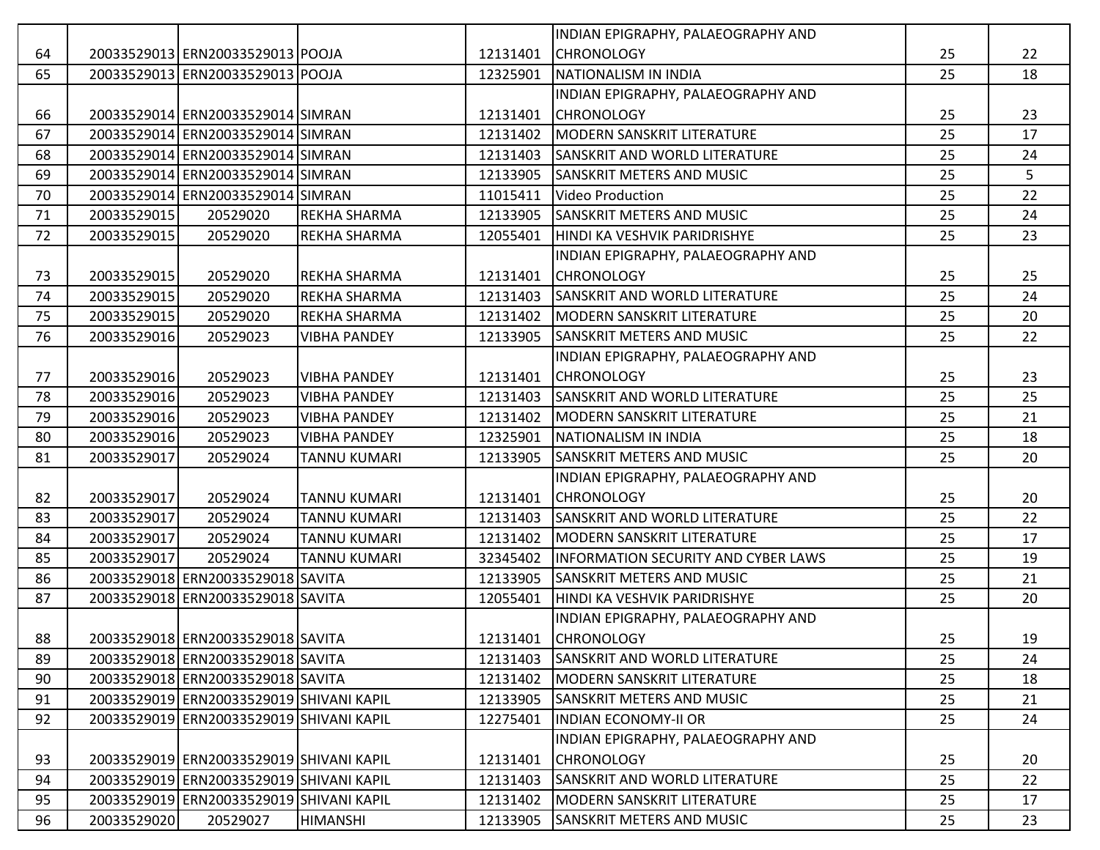|    |             |                                          |                     |          | INDIAN EPIGRAPHY, PALAEOGRAPHY AND         |    |    |
|----|-------------|------------------------------------------|---------------------|----------|--------------------------------------------|----|----|
| 64 |             | 20033529013 ERN20033529013 POOJA         |                     | 12131401 | <b>CHRONOLOGY</b>                          | 25 | 22 |
| 65 |             | 20033529013 ERN20033529013 POOJA         |                     | 12325901 | NATIONALISM IN INDIA                       | 25 | 18 |
|    |             |                                          |                     |          | INDIAN EPIGRAPHY, PALAEOGRAPHY AND         |    |    |
| 66 |             | 20033529014 ERN20033529014 SIMRAN        |                     | 12131401 | <b>CHRONOLOGY</b>                          | 25 | 23 |
| 67 |             | 20033529014 ERN20033529014 SIMRAN        |                     | 12131402 | MODERN SANSKRIT LITERATURE                 | 25 | 17 |
| 68 |             | 20033529014 ERN20033529014 SIMRAN        |                     | 12131403 | <b>SANSKRIT AND WORLD LITERATURE</b>       | 25 | 24 |
| 69 |             | 20033529014 ERN20033529014 SIMRAN        |                     | 12133905 | <b>SANSKRIT METERS AND MUSIC</b>           | 25 | 5  |
| 70 |             | 20033529014 ERN20033529014 SIMRAN        |                     | 11015411 | Video Production                           | 25 | 22 |
| 71 | 20033529015 | 20529020                                 | <b>REKHA SHARMA</b> | 12133905 | <b>SANSKRIT METERS AND MUSIC</b>           | 25 | 24 |
| 72 | 20033529015 | 20529020                                 | <b>REKHA SHARMA</b> | 12055401 | HINDI KA VESHVIK PARIDRISHYE               | 25 | 23 |
|    |             |                                          |                     |          | INDIAN EPIGRAPHY, PALAEOGRAPHY AND         |    |    |
| 73 | 20033529015 | 20529020                                 | <b>REKHA SHARMA</b> | 12131401 | <b>CHRONOLOGY</b>                          | 25 | 25 |
| 74 | 20033529015 | 20529020                                 | <b>REKHA SHARMA</b> | 12131403 | <b>SANSKRIT AND WORLD LITERATURE</b>       | 25 | 24 |
| 75 | 20033529015 | 20529020                                 | <b>REKHA SHARMA</b> | 12131402 | MODERN SANSKRIT LITERATURE                 | 25 | 20 |
| 76 | 20033529016 | 20529023                                 | <b>VIBHA PANDEY</b> | 12133905 | <b>SANSKRIT METERS AND MUSIC</b>           | 25 | 22 |
|    |             |                                          |                     |          | INDIAN EPIGRAPHY, PALAEOGRAPHY AND         |    |    |
| 77 | 20033529016 | 20529023                                 | <b>VIBHA PANDEY</b> | 12131401 | <b>CHRONOLOGY</b>                          | 25 | 23 |
| 78 | 20033529016 | 20529023                                 | <b>VIBHA PANDEY</b> | 12131403 | <b>SANSKRIT AND WORLD LITERATURE</b>       | 25 | 25 |
| 79 | 20033529016 | 20529023                                 | <b>VIBHA PANDEY</b> | 12131402 | MODERN SANSKRIT LITERATURE                 | 25 | 21 |
| 80 | 20033529016 | 20529023                                 | <b>VIBHA PANDEY</b> | 12325901 | NATIONALISM IN INDIA                       | 25 | 18 |
| 81 | 20033529017 | 20529024                                 | <b>TANNU KUMARI</b> | 12133905 | <b>SANSKRIT METERS AND MUSIC</b>           | 25 | 20 |
|    |             |                                          |                     |          | INDIAN EPIGRAPHY, PALAEOGRAPHY AND         |    |    |
| 82 | 20033529017 | 20529024                                 | <b>TANNU KUMARI</b> | 12131401 | <b>CHRONOLOGY</b>                          | 25 | 20 |
| 83 | 20033529017 | 20529024                                 | <b>TANNU KUMARI</b> | 12131403 | <b>SANSKRIT AND WORLD LITERATURE</b>       | 25 | 22 |
| 84 | 20033529017 | 20529024                                 | <b>TANNU KUMARI</b> | 12131402 | <b>MODERN SANSKRIT LITERATURE</b>          | 25 | 17 |
| 85 | 20033529017 | 20529024                                 | <b>TANNU KUMARI</b> | 32345402 | <b>INFORMATION SECURITY AND CYBER LAWS</b> | 25 | 19 |
| 86 |             | 20033529018 ERN20033529018 SAVITA        |                     | 12133905 | <b>SANSKRIT METERS AND MUSIC</b>           | 25 | 21 |
| 87 |             | 20033529018 ERN20033529018 SAVITA        |                     | 12055401 | HINDI KA VESHVIK PARIDRISHYE               | 25 | 20 |
|    |             |                                          |                     |          | INDIAN EPIGRAPHY, PALAEOGRAPHY AND         |    |    |
| 88 |             | 20033529018 ERN20033529018 SAVITA        |                     |          | 12131401 CHRONOLOGY                        | 25 | 19 |
| 89 |             | 20033529018 ERN20033529018 SAVITA        |                     |          | 12131403 SANSKRIT AND WORLD LITERATURE     | 25 | 24 |
| 90 |             | 20033529018 ERN20033529018 SAVITA        |                     | 12131402 | <b>MODERN SANSKRIT LITERATURE</b>          | 25 | 18 |
| 91 |             | 20033529019 ERN20033529019 SHIVANI KAPIL |                     | 12133905 | <b>SANSKRIT METERS AND MUSIC</b>           | 25 | 21 |
| 92 |             | 20033529019 ERN20033529019 SHIVANI KAPIL |                     | 12275401 | <b>INDIAN ECONOMY-II OR</b>                | 25 | 24 |
|    |             |                                          |                     |          | INDIAN EPIGRAPHY, PALAEOGRAPHY AND         |    |    |
| 93 |             | 20033529019 ERN20033529019 SHIVANI KAPIL |                     | 12131401 | <b>CHRONOLOGY</b>                          | 25 | 20 |
| 94 |             | 20033529019 ERN20033529019 SHIVANI KAPIL |                     | 12131403 | <b>SANSKRIT AND WORLD LITERATURE</b>       | 25 | 22 |
| 95 |             | 20033529019 ERN20033529019 SHIVANI KAPIL |                     | 12131402 | MODERN SANSKRIT LITERATURE                 | 25 | 17 |
| 96 | 20033529020 | 20529027                                 | <b>HIMANSHI</b>     | 12133905 | <b>SANSKRIT METERS AND MUSIC</b>           | 25 | 23 |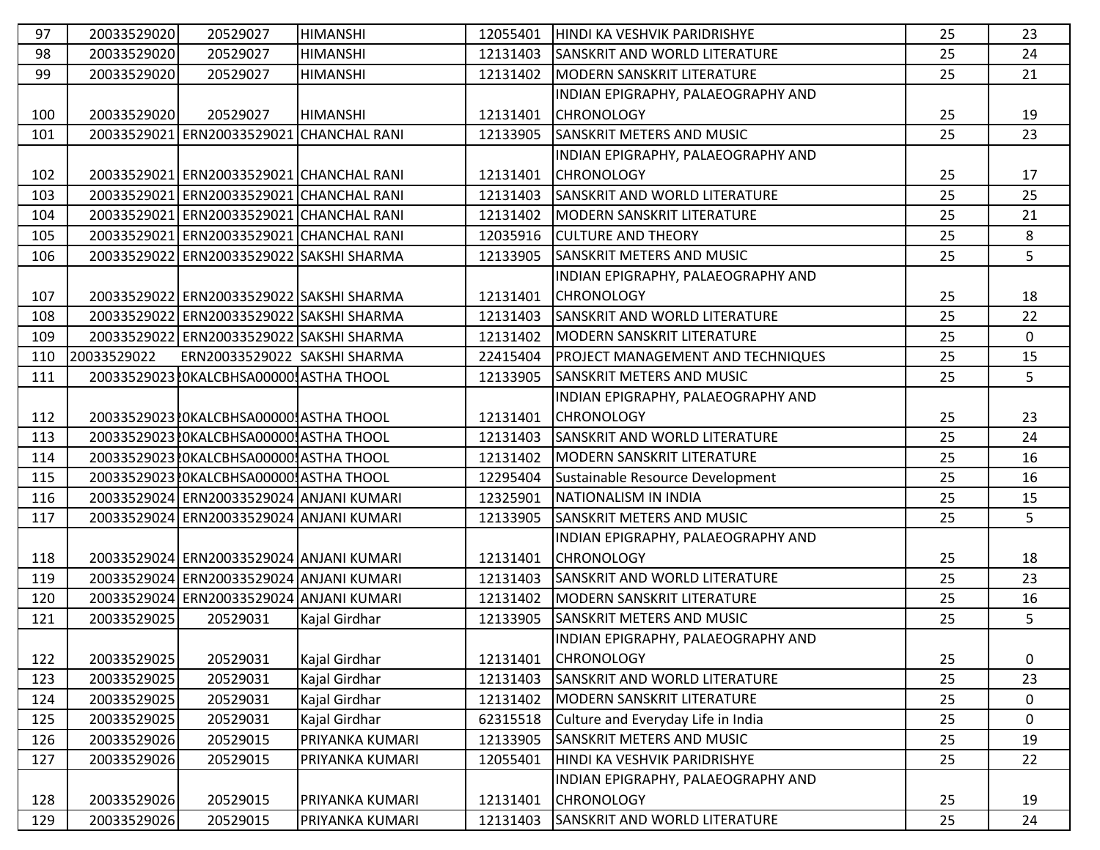| 97  | 20033529020 | 20529027                                 | <b>HIMANSHI</b> | 12055401 | HINDI KA VESHVIK PARIDRISHYE             | 25 | 23          |
|-----|-------------|------------------------------------------|-----------------|----------|------------------------------------------|----|-------------|
| 98  | 20033529020 | 20529027                                 | <b>HIMANSHI</b> | 12131403 | <b>SANSKRIT AND WORLD LITERATURE</b>     | 25 | 24          |
| 99  | 20033529020 | 20529027                                 | <b>HIMANSHI</b> | 12131402 | MODERN SANSKRIT LITERATURE               | 25 | 21          |
|     |             |                                          |                 |          | INDIAN EPIGRAPHY, PALAEOGRAPHY AND       |    |             |
| 100 | 20033529020 | 20529027                                 | <b>HIMANSHI</b> | 12131401 | <b>CHRONOLOGY</b>                        | 25 | 19          |
| 101 |             | 20033529021 ERN20033529021 CHANCHAL RANI |                 | 12133905 | <b>SANSKRIT METERS AND MUSIC</b>         | 25 | 23          |
|     |             |                                          |                 |          | INDIAN EPIGRAPHY, PALAEOGRAPHY AND       |    |             |
| 102 |             | 20033529021 ERN20033529021 CHANCHAL RANI |                 | 12131401 | <b>CHRONOLOGY</b>                        | 25 | 17          |
| 103 |             | 20033529021 ERN20033529021 CHANCHAL RANI |                 | 12131403 | <b>SANSKRIT AND WORLD LITERATURE</b>     | 25 | 25          |
| 104 |             | 20033529021 ERN20033529021 CHANCHAL RANI |                 | 12131402 | MODERN SANSKRIT LITERATURE               | 25 | 21          |
| 105 |             | 20033529021 ERN20033529021 CHANCHAL RANI |                 | 12035916 | <b>CULTURE AND THEORY</b>                | 25 | 8           |
| 106 |             | 20033529022 ERN20033529022 SAKSHI SHARMA |                 | 12133905 | <b>SANSKRIT METERS AND MUSIC</b>         | 25 | 5           |
|     |             |                                          |                 |          | INDIAN EPIGRAPHY, PALAEOGRAPHY AND       |    |             |
| 107 |             | 20033529022 ERN20033529022 SAKSHI SHARMA |                 | 12131401 | <b>CHRONOLOGY</b>                        | 25 | 18          |
| 108 |             | 20033529022 ERN20033529022 SAKSHI SHARMA |                 | 12131403 | SANSKRIT AND WORLD LITERATURE            | 25 | 22          |
| 109 |             | 20033529022 ERN20033529022 SAKSHI SHARMA |                 | 12131402 | MODERN SANSKRIT LITERATURE               | 25 | $\mathbf 0$ |
| 110 | 20033529022 | ERN20033529022 SAKSHI SHARMA             |                 | 22415404 | <b>PROJECT MANAGEMENT AND TECHNIQUES</b> | 25 | 15          |
| 111 |             | 20033529023 LOKALCBHSA00000 ASTHA THOOL  |                 | 12133905 | <b>SANSKRIT METERS AND MUSIC</b>         | 25 | 5           |
|     |             |                                          |                 |          | INDIAN EPIGRAPHY, PALAEOGRAPHY AND       |    |             |
| 112 |             | 20033529023 LOKALCBHSA00000 ASTHA THOOL  |                 | 12131401 | <b>CHRONOLOGY</b>                        | 25 | 23          |
| 113 |             | 20033529023 LOKALCBHSA00000 ASTHA THOOL  |                 | 12131403 | <b>SANSKRIT AND WORLD LITERATURE</b>     | 25 | 24          |
| 114 |             | 20033529023 LOKALCBHSA00000 ASTHA THOOL  |                 | 12131402 | MODERN SANSKRIT LITERATURE               | 25 | 16          |
| 115 |             | 20033529023 LOKALCBHSA00000 ASTHA THOOL  |                 | 12295404 | Sustainable Resource Development         | 25 | 16          |
| 116 |             | 20033529024 ERN20033529024 ANJANI KUMARI |                 | 12325901 | <b>NATIONALISM IN INDIA</b>              | 25 | 15          |
| 117 |             | 20033529024 ERN20033529024 ANJANI KUMARI |                 | 12133905 | <b>SANSKRIT METERS AND MUSIC</b>         | 25 | 5           |
|     |             |                                          |                 |          | INDIAN EPIGRAPHY, PALAEOGRAPHY AND       |    |             |
| 118 |             | 20033529024 ERN20033529024 ANJANI KUMARI |                 | 12131401 | <b>CHRONOLOGY</b>                        | 25 | 18          |
| 119 |             | 20033529024 ERN20033529024 ANJANI KUMARI |                 | 12131403 | <b>SANSKRIT AND WORLD LITERATURE</b>     | 25 | 23          |
| 120 |             | 20033529024 ERN20033529024 ANJANI KUMARI |                 | 12131402 | <b>MODERN SANSKRIT LITERATURE</b>        | 25 | 16          |
| 121 | 20033529025 | 20529031                                 | Kajal Girdhar   | 12133905 | <b>SANSKRIT METERS AND MUSIC</b>         | 25 | 5           |
|     |             |                                          |                 |          | INDIAN EPIGRAPHY, PALAEOGRAPHY AND       |    |             |
| 122 | 20033529025 | 20529031                                 | Kajal Girdhar   | 12131401 | <b>CHRONOLOGY</b>                        | 25 | 0           |
| 123 | 20033529025 | 20529031                                 | Kajal Girdhar   | 12131403 | <b>SANSKRIT AND WORLD LITERATURE</b>     | 25 | 23          |
| 124 | 20033529025 | 20529031                                 | Kajal Girdhar   | 12131402 | MODERN SANSKRIT LITERATURE               | 25 | 0           |
| 125 | 20033529025 | 20529031                                 | Kajal Girdhar   | 62315518 | Culture and Everyday Life in India       | 25 | 0           |
| 126 | 20033529026 | 20529015                                 | PRIYANKA KUMARI | 12133905 | <b>SANSKRIT METERS AND MUSIC</b>         | 25 | 19          |
| 127 | 20033529026 | 20529015                                 | PRIYANKA KUMARI | 12055401 | HINDI KA VESHVIK PARIDRISHYE             | 25 | 22          |
|     |             |                                          |                 |          | INDIAN EPIGRAPHY, PALAEOGRAPHY AND       |    |             |
| 128 | 20033529026 | 20529015                                 | PRIYANKA KUMARI | 12131401 | <b>CHRONOLOGY</b>                        | 25 | 19          |
| 129 | 20033529026 | 20529015                                 | PRIYANKA KUMARI | 12131403 | SANSKRIT AND WORLD LITERATURE            | 25 | 24          |